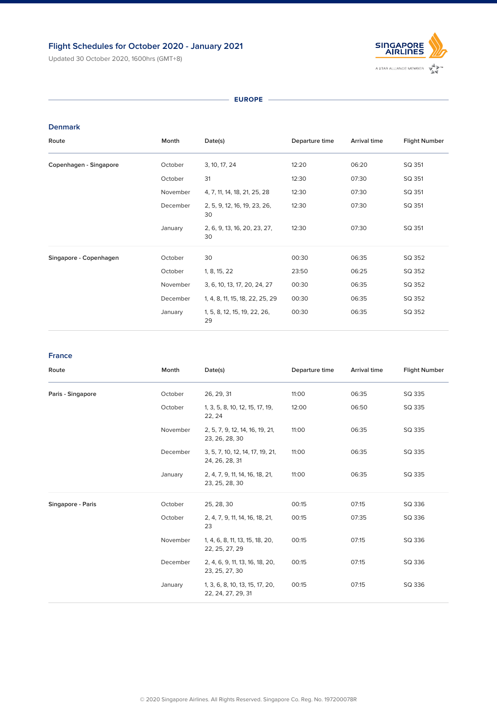# **Flight Schedules for October 2020 - January 2021**

Updated 30 October 2020, 1600hrs (GMT+8)



 $-$  **EUROPE**  $-$ 

### **Denmark**

| Route                         | Month    | Date(s)                            | Departure time | <b>Arrival time</b> | <b>Flight Number</b> |
|-------------------------------|----------|------------------------------------|----------------|---------------------|----------------------|
| <b>Copenhagen - Singapore</b> | October  | 3, 10, 17, 24                      | 12:20          | 06:20               | SQ 351               |
|                               | October  | 31                                 | 12:30          | 07:30               | SQ 351               |
|                               | November | 4, 7, 11, 14, 18, 21, 25, 28       | 12:30          | 07:30               | SQ 351               |
|                               | December | 2, 5, 9, 12, 16, 19, 23, 26,<br>30 | 12:30          | 07:30               | SQ 351               |
|                               | January  | 2, 6, 9, 13, 16, 20, 23, 27,<br>30 | 12:30          | 07:30               | SQ 351               |
| Singapore - Copenhagen        | October  | 30                                 | 00:30          | 06:35               | SQ 352               |
|                               | October  | 1, 8, 15, 22                       | 23:50          | 06:25               | SQ 352               |
|                               | November | 3, 6, 10, 13, 17, 20, 24, 27       | 00:30          | 06:35               | SQ 352               |
|                               | December | 1, 4, 8, 11, 15, 18, 22, 25, 29    | 00:30          | 06:35               | SQ 352               |
|                               | January  | 1, 5, 8, 12, 15, 19, 22, 26,<br>29 | 00:30          | 06:35               | SQ 352               |

| Route                    | Month    | Date(s)                                               | Departure time | <b>Arrival time</b> | <b>Flight Number</b> |
|--------------------------|----------|-------------------------------------------------------|----------------|---------------------|----------------------|
| Paris - Singapore        | October  | 26, 29, 31                                            | 11:00          | 06:35               | SQ 335               |
|                          | October  | 1, 3, 5, 8, 10, 12, 15, 17, 19,<br>22, 24             | 12:00          | 06:50               | SQ 335               |
|                          | November | 2, 5, 7, 9, 12, 14, 16, 19, 21,<br>23, 26, 28, 30     | 11:00          | 06:35               | SQ 335               |
|                          | December | 3, 5, 7, 10, 12, 14, 17, 19, 21,<br>24, 26, 28, 31    | 11:00          | 06:35               | SQ 335               |
|                          | January  | 2, 4, 7, 9, 11, 14, 16, 18, 21,<br>23, 25, 28, 30     | 11:00          | 06:35               | SQ 335               |
| <b>Singapore - Paris</b> | October  | 25, 28, 30                                            | 00:15          | 07:15               | SQ 336               |
|                          | October  | 2, 4, 7, 9, 11, 14, 16, 18, 21,<br>23                 | 00:15          | 07:35               | SQ 336               |
|                          | November | 1, 4, 6, 8, 11, 13, 15, 18, 20,<br>22, 25, 27, 29     | 00:15          | 07:15               | SQ 336               |
|                          | December | 2, 4, 6, 9, 11, 13, 16, 18, 20,<br>23, 25, 27, 30     | 00:15          | 07:15               | SQ 336               |
|                          | January  | 1, 3, 6, 8, 10, 13, 15, 17, 20,<br>22, 24, 27, 29, 31 | 00:15          | 07:15               | SQ 336               |

### **France**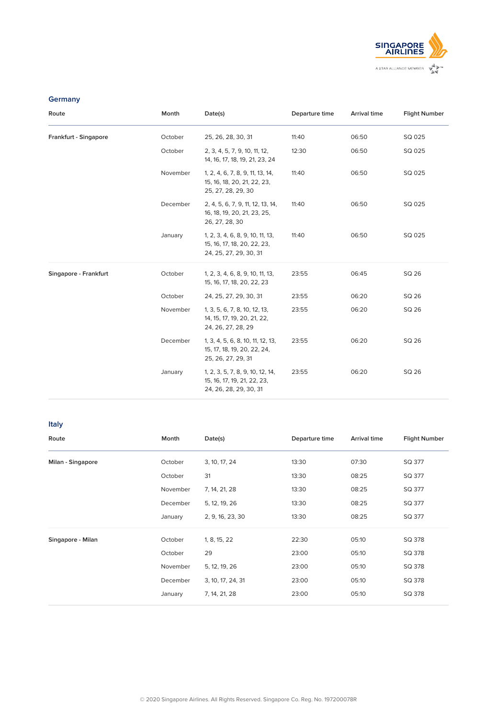| Route                        | Month    | Date(s)                                                                                   | Departure time | <b>Arrival time</b> | <b>Flight Number</b> |
|------------------------------|----------|-------------------------------------------------------------------------------------------|----------------|---------------------|----------------------|
| <b>Frankfurt - Singapore</b> | October  | 25, 26, 28, 30, 31                                                                        | 11:40          | 06:50               | SQ 025               |
|                              | October  | 2, 3, 4, 5, 7, 9, 10, 11, 12,<br>14, 16, 17, 18, 19, 21, 23, 24                           | 12:30          | 06:50               | SQ 025               |
|                              | November | 1, 2, 4, 6, 7, 8, 9, 11, 13, 14,<br>15, 16, 18, 20, 21, 22, 23,<br>25, 27, 28, 29, 30     | 11:40          | 06:50               | SQ 025               |
|                              | December | 2, 4, 5, 6, 7, 9, 11, 12, 13, 14,<br>16, 18, 19, 20, 21, 23, 25,<br>26, 27, 28, 30        | 11:40          | 06:50               | SQ 025               |
|                              | January  | 1, 2, 3, 4, 6, 8, 9, 10, 11, 13,<br>15, 16, 17, 18, 20, 22, 23,<br>24, 25, 27, 29, 30, 31 | 11:40          | 06:50               | SQ 025               |
| <b>Singapore - Frankfurt</b> | October  | 1, 2, 3, 4, 6, 8, 9, 10, 11, 13,<br>15, 16, 17, 18, 20, 22, 23                            | 23:55          | 06:45               | SQ 26                |
|                              | October  | 24, 25, 27, 29, 30, 31                                                                    | 23:55          | 06:20               | SQ 26                |
|                              | November | 1, 3, 5, 6, 7, 8, 10, 12, 13,<br>14, 15, 17, 19, 20, 21, 22,<br>24, 26, 27, 28, 29        | 23:55          | 06:20               | SQ 26                |
|                              | December | 1, 3, 4, 5, 6, 8, 10, 11, 12, 13,<br>15, 17, 18, 19, 20, 22, 24,<br>25, 26, 27, 29, 31    | 23:55          | 06:20               | SQ 26                |
|                              | January  | 1, 2, 3, 5, 7, 8, 9, 10, 12, 14,<br>15, 16, 17, 19, 21, 22, 23,<br>24, 26, 28, 29, 30, 31 | 23:55          | 06:20               | SQ 26                |



## **Germany**

| Route                    | Month    | Date(s)           | Departure time | <b>Arrival time</b> | <b>Flight Number</b> |
|--------------------------|----------|-------------------|----------------|---------------------|----------------------|
| <b>Milan - Singapore</b> | October  | 3, 10, 17, 24     | 13:30          | 07:30               | SQ 377               |
|                          | October  | 31                | 13:30          | 08:25               | SQ 377               |
|                          | November | 7, 14, 21, 28     | 13:30          | 08:25               | SQ 377               |
|                          | December | 5, 12, 19, 26     | 13:30          | 08:25               | SQ 377               |
|                          | January  | 2, 9, 16, 23, 30  | 13:30          | 08:25               | SQ 377               |
| Singapore - Milan        | October  | 1, 8, 15, 22      | 22:30          | 05:10               | SQ 378               |
|                          | October  | 29                | 23:00          | 05:10               | SQ 378               |
|                          | November | 5, 12, 19, 26     | 23:00          | 05:10               | SQ 378               |
|                          | December | 3, 10, 17, 24, 31 | 23:00          | 05:10               | SQ 378               |
|                          | January  | 7, 14, 21, 28     | 23:00          | 05:10               | SQ 378               |
|                          |          |                   |                |                     |                      |

**Italy**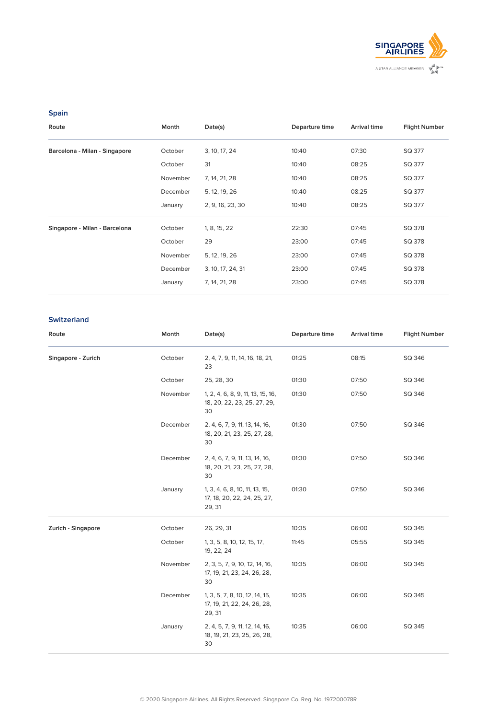| Route                         | Month    | Date(s)           | Departure time | <b>Arrival time</b> | <b>Flight Number</b> |
|-------------------------------|----------|-------------------|----------------|---------------------|----------------------|
| Barcelona - Milan - Singapore | October  | 3, 10, 17, 24     | 10:40          | 07:30               | SQ 377               |
|                               | October  | 31                | 10:40          | 08:25               | SQ 377               |
|                               | November | 7, 14, 21, 28     | 10:40          | 08:25               | SQ 377               |
|                               | December | 5, 12, 19, 26     | 10:40          | 08:25               | SQ 377               |
|                               | January  | 2, 9, 16, 23, 30  | 10:40          | 08:25               | SQ 377               |
| Singapore - Milan - Barcelona | October  | 1, 8, 15, 22      | 22:30          | 07:45               | SQ 378               |
|                               | October  | 29                | 23:00          | 07:45               | SQ 378               |
|                               | November | 5, 12, 19, 26     | 23:00          | 07:45               | SQ 378               |
|                               | December | 3, 10, 17, 24, 31 | 23:00          | 07:45               | SQ 378               |
|                               | January  | 7, 14, 21, 28     | 23:00          | 07:45               | SQ 378               |



## **Spain**

30

| Route              | Month    | Date(s)                                                                | Departure time | <b>Arrival time</b> | <b>Flight Number</b> |
|--------------------|----------|------------------------------------------------------------------------|----------------|---------------------|----------------------|
| Singapore - Zurich | October  | 2, 4, 7, 9, 11, 14, 16, 18, 21,<br>23                                  | 01:25          | 08:15               | SQ 346               |
|                    | October  | 25, 28, 30                                                             | 01:30          | 07:50               | SQ 346               |
|                    | November | 1, 2, 4, 6, 8, 9, 11, 13, 15, 16,<br>18, 20, 22, 23, 25, 27, 29,<br>30 | 01:30          | 07:50               | SQ 346               |
|                    | December | 2, 4, 6, 7, 9, 11, 13, 14, 16,<br>18, 20, 21, 23, 25, 27, 28,          | 01:30          | 07:50               | SQ 346               |

|                    | December | 2, 4, 6, 7, 9, 11, 13, 14, 16,<br>18, 20, 21, 23, 25, 27, 28,<br>30     | 01:30 | 07:50 | SQ 346 |
|--------------------|----------|-------------------------------------------------------------------------|-------|-------|--------|
|                    | January  | 1, 3, 4, 6, 8, 10, 11, 13, 15,<br>17, 18, 20, 22, 24, 25, 27,<br>29, 31 | 01:30 | 07:50 | SQ 346 |
| Zurich - Singapore | October  | 26, 29, 31                                                              | 10:35 | 06:00 | SQ 345 |
|                    | October  | 1, 3, 5, 8, 10, 12, 15, 17,<br>19, 22, 24                               | 11:45 | 05:55 | SQ 345 |
|                    | November | 2, 3, 5, 7, 9, 10, 12, 14, 16,<br>17, 19, 21, 23, 24, 26, 28,<br>30     | 10:35 | 06:00 | SQ 345 |
|                    | December | 1, 3, 5, 7, 8, 10, 12, 14, 15,<br>17, 19, 21, 22, 24, 26, 28,<br>29, 31 | 10:35 | 06:00 | SQ 345 |
|                    | January  | 2, 4, 5, 7, 9, 11, 12, 14, 16,<br>18, 19, 21, 23, 25, 26, 28,<br>30     | 10:35 | 06:00 | SQ 345 |

## **Switzerland**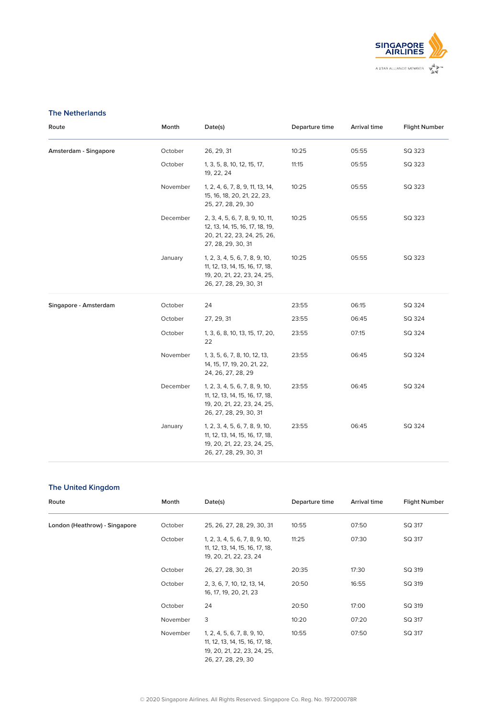© 2020 Singapore Airlines. All Rights Reserved. Singapore Co. Reg. No. 197200078R

| Route                        | Month    | Date(s)                                                                                                                    | Departure time | <b>Arrival time</b> | <b>Flight Number</b> |
|------------------------------|----------|----------------------------------------------------------------------------------------------------------------------------|----------------|---------------------|----------------------|
| <b>Amsterdam - Singapore</b> | October  | 26, 29, 31                                                                                                                 | 10:25          | 05:55               | SQ 323               |
|                              | October  | 1, 3, 5, 8, 10, 12, 15, 17,<br>19, 22, 24                                                                                  | 11:15          | 05:55               | SQ 323               |
|                              | November | 1, 2, 4, 6, 7, 8, 9, 11, 13, 14,<br>15, 16, 18, 20, 21, 22, 23,<br>25, 27, 28, 29, 30                                      | 10:25          | 05:55               | SQ 323               |
|                              | December | 2, 3, 4, 5, 6, 7, 8, 9, 10, 11,<br>12, 13, 14, 15, 16, 17, 18, 19,<br>20, 21, 22, 23, 24, 25, 26,<br>27, 28, 29, 30, 31    | 10:25          | 05:55               | SQ 323               |
|                              | January  | 1, 2, 3, 4, 5, 6, 7, 8, 9, 10,<br>11, 12, 13, 14, 15, 16, 17, 18,<br>19, 20, 21, 22, 23, 24, 25,<br>26, 27, 28, 29, 30, 31 | 10:25          | 05:55               | SQ 323               |
| <b>Singapore - Amsterdam</b> | October  | 24                                                                                                                         | 23:55          | 06:15               | SQ 324               |
|                              | October  | 27, 29, 31                                                                                                                 | 23:55          | 06:45               | SQ 324               |
|                              | October  | 1, 3, 6, 8, 10, 13, 15, 17, 20,<br>22                                                                                      | 23:55          | 07:15               | SQ 324               |
|                              | November | 1, 3, 5, 6, 7, 8, 10, 12, 13,<br>14, 15, 17, 19, 20, 21, 22,<br>24, 26, 27, 28, 29                                         | 23:55          | 06:45               | SQ 324               |
|                              | December | 1, 2, 3, 4, 5, 6, 7, 8, 9, 10,<br>11, 12, 13, 14, 15, 16, 17, 18,<br>19, 20, 21, 22, 23, 24, 25,<br>26, 27, 28, 29, 30, 31 | 23:55          | 06:45               | SQ 324               |
|                              | January  | 1, 2, 3, 4, 5, 6, 7, 8, 9, 10,                                                                                             | 23:55          | 06:45               | SQ 324               |

11, 12, 13, 14, 15, 16, 17, 18, 19, 20, 21, 22, 23, 24, 25, 26, 27, 28, 29, 30, 31



### **The Netherlands**

| Route                         | Month    | Date(s)                                                                                                             | Departure time | <b>Arrival time</b> | <b>Flight Number</b> |
|-------------------------------|----------|---------------------------------------------------------------------------------------------------------------------|----------------|---------------------|----------------------|
| London (Heathrow) - Singapore | October  | 25, 26, 27, 28, 29, 30, 31                                                                                          | 10:55          | 07:50               | SQ 317               |
|                               | October  | 1, 2, 3, 4, 5, 6, 7, 8, 9, 10,<br>11, 12, 13, 14, 15, 16, 17, 18,<br>19, 20, 21, 22, 23, 24                         | 11:25          | 07:30               | SQ 317               |
|                               | October  | 26, 27, 28, 30, 31                                                                                                  | 20:35          | 17:30               | SQ 319               |
|                               | October  | 2, 3, 6, 7, 10, 12, 13, 14,<br>16, 17, 19, 20, 21, 23                                                               | 20:50          | 16:55               | SQ 319               |
|                               | October  | 24                                                                                                                  | 20:50          | 17:00               | SQ 319               |
|                               | November | 3                                                                                                                   | 10:20          | 07:20               | SQ 317               |
|                               | November | 1, 2, 4, 5, 6, 7, 8, 9, 10,<br>11, 12, 13, 14, 15, 16, 17, 18,<br>19, 20, 21, 22, 23, 24, 25,<br>26, 27, 28, 29, 30 | 10:55          | 07:50               | SQ 317               |

# **The United Kingdom**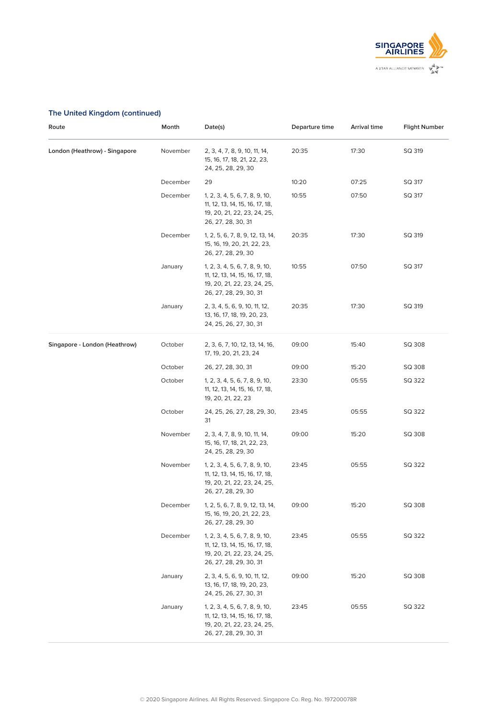

# **The United Kingdom (continued)**

| Route                         | Month    | Date(s)                                                                                                                    | Departure time | <b>Arrival time</b> | <b>Flight Number</b> |
|-------------------------------|----------|----------------------------------------------------------------------------------------------------------------------------|----------------|---------------------|----------------------|
| London (Heathrow) - Singapore | November | 2, 3, 4, 7, 8, 9, 10, 11, 14,<br>15, 16, 17, 18, 21, 22, 23,<br>24, 25, 28, 29, 30                                         | 20:35          | 17:30               | SQ 319               |
|                               | December | 29                                                                                                                         | 10:20          | 07:25               | SQ 317               |
|                               | December | 1, 2, 3, 4, 5, 6, 7, 8, 9, 10,<br>11, 12, 13, 14, 15, 16, 17, 18,<br>19, 20, 21, 22, 23, 24, 25,<br>26, 27, 28, 30, 31     | 10:55          | 07:50               | SQ 317               |
|                               | December | 1, 2, 5, 6, 7, 8, 9, 12, 13, 14,<br>15, 16, 19, 20, 21, 22, 23,<br>26, 27, 28, 29, 30                                      | 20:35          | 17:30               | SQ 319               |
|                               | January  | 1, 2, 3, 4, 5, 6, 7, 8, 9, 10,<br>11, 12, 13, 14, 15, 16, 17, 18,<br>19, 20, 21, 22, 23, 24, 25,<br>26, 27, 28, 29, 30, 31 | 10:55          | 07:50               | SQ 317               |
|                               | January  | 2, 3, 4, 5, 6, 9, 10, 11, 12,<br>13, 16, 17, 18, 19, 20, 23,<br>24, 25, 26, 27, 30, 31                                     | 20:35          | 17:30               | SQ 319               |
| Singapore - London (Heathrow) | October  | 2, 3, 6, 7, 10, 12, 13, 14, 16,<br>17, 19, 20, 21, 23, 24                                                                  | 09:00          | 15:40               | SQ 308               |
|                               | October  | 26, 27, 28, 30, 31                                                                                                         | 09:00          | 15:20               | SQ 308               |
|                               | October  | 1, 2, 3, 4, 5, 6, 7, 8, 9, 10,<br>11, 12, 13, 14, 15, 16, 17, 18,<br>19, 20, 21, 22, 23                                    | 23:30          | 05:55               | SQ 322               |
|                               | October  | 24, 25, 26, 27, 28, 29, 30,<br>31                                                                                          | 23:45          | 05:55               | SQ 322               |
|                               | November | 2, 3, 4, 7, 8, 9, 10, 11, 14,<br>15, 16, 17, 18, 21, 22, 23,<br>24, 25, 28, 29, 30                                         | 09:00          | 15:20               | SQ 308               |
|                               | November | 1, 2, 3, 4, 5, 6, 7, 8, 9, 10,<br>11, 12, 13, 14, 15, 16, 17, 18,<br>19, 20, 21, 22, 23, 24, 25,<br>26, 27, 28, 29, 30     | 23:45          | 05:55               | SQ 322               |
|                               | December | 1, 2, 5, 6, 7, 8, 9, 12, 13, 14,<br>15, 16, 19, 20, 21, 22, 23,<br>26, 27, 28, 29, 30                                      | 09:00          | 15:20               | SQ 308               |
|                               | December | 1, 2, 3, 4, 5, 6, 7, 8, 9, 10,<br>11, 12, 13, 14, 15, 16, 17, 18,<br>19, 20, 21, 22, 23, 24, 25,<br>26, 27, 28, 29, 30, 31 | 23:45          | 05:55               | SQ 322               |
|                               | January  | 2, 3, 4, 5, 6, 9, 10, 11, 12,<br>13, 16, 17, 18, 19, 20, 23,<br>24, 25, 26, 27, 30, 31                                     | 09:00          | 15:20               | SQ 308               |
|                               | January  | 1, 2, 3, 4, 5, 6, 7, 8, 9, 10,<br>11, 12, 13, 14, 15, 16, 17, 18,<br>19, 20, 21, 22, 23, 24, 25,<br>26, 27, 28, 29, 30, 31 | 23:45          | 05:55               | SQ 322               |